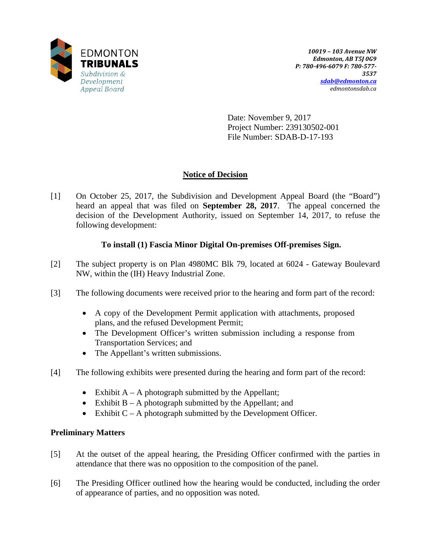

Date: November 9, 2017 Project Number: 239130502-001 File Number: SDAB-D-17-193

# **Notice of Decision**

[1] On October 25, 2017, the Subdivision and Development Appeal Board (the "Board") heard an appeal that was filed on **September 28, 2017**. The appeal concerned the decision of the Development Authority, issued on September 14, 2017, to refuse the following development:

# **To install (1) Fascia Minor Digital On-premises Off-premises Sign.**

- [2] The subject property is on Plan 4980MC Blk 79, located at 6024 Gateway Boulevard NW, within the (IH) Heavy Industrial Zone.
- [3] The following documents were received prior to the hearing and form part of the record:
	- A copy of the Development Permit application with attachments, proposed plans, and the refused Development Permit;
	- The Development Officer's written submission including a response from Transportation Services; and
	- The Appellant's written submissions.
- [4] The following exhibits were presented during the hearing and form part of the record:
	- Exhibit  $A A$  photograph submitted by the Appellant;
	- Exhibit  $B A$  photograph submitted by the Appellant; and
	- Exhibit  $C A$  photograph submitted by the Development Officer.

# **Preliminary Matters**

- [5] At the outset of the appeal hearing, the Presiding Officer confirmed with the parties in attendance that there was no opposition to the composition of the panel.
- [6] The Presiding Officer outlined how the hearing would be conducted, including the order of appearance of parties, and no opposition was noted.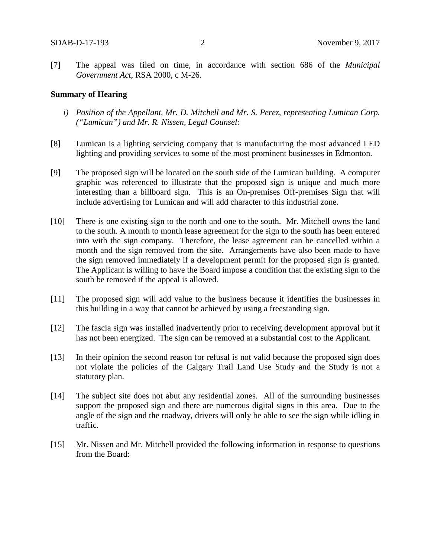[7] The appeal was filed on time, in accordance with section 686 of the *Municipal Government Act*, RSA 2000, c M-26.

## **Summary of Hearing**

- *i) Position of the Appellant, Mr. D. Mitchell and Mr. S. Perez, representing Lumican Corp. ("Lumican") and Mr. R. Nissen, Legal Counsel:*
- [8] Lumican is a lighting servicing company that is manufacturing the most advanced LED lighting and providing services to some of the most prominent businesses in Edmonton.
- [9] The proposed sign will be located on the south side of the Lumican building. A computer graphic was referenced to illustrate that the proposed sign is unique and much more interesting than a billboard sign. This is an On-premises Off-premises Sign that will include advertising for Lumican and will add character to this industrial zone.
- [10] There is one existing sign to the north and one to the south. Mr. Mitchell owns the land to the south. A month to month lease agreement for the sign to the south has been entered into with the sign company. Therefore, the lease agreement can be cancelled within a month and the sign removed from the site. Arrangements have also been made to have the sign removed immediately if a development permit for the proposed sign is granted. The Applicant is willing to have the Board impose a condition that the existing sign to the south be removed if the appeal is allowed.
- [11] The proposed sign will add value to the business because it identifies the businesses in this building in a way that cannot be achieved by using a freestanding sign.
- [12] The fascia sign was installed inadvertently prior to receiving development approval but it has not been energized. The sign can be removed at a substantial cost to the Applicant.
- [13] In their opinion the second reason for refusal is not valid because the proposed sign does not violate the policies of the Calgary Trail Land Use Study and the Study is not a statutory plan.
- [14] The subject site does not abut any residential zones. All of the surrounding businesses support the proposed sign and there are numerous digital signs in this area. Due to the angle of the sign and the roadway, drivers will only be able to see the sign while idling in traffic.
- [15] Mr. Nissen and Mr. Mitchell provided the following information in response to questions from the Board: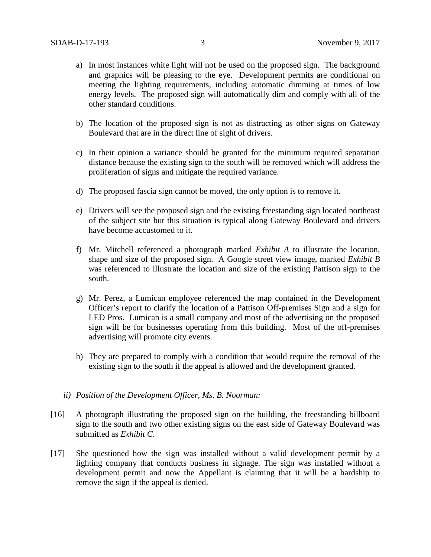- a) In most instances white light will not be used on the proposed sign. The background and graphics will be pleasing to the eye. Development permits are conditional on meeting the lighting requirements, including automatic dimming at times of low energy levels. The proposed sign will automatically dim and comply with all of the other standard conditions.
- b) The location of the proposed sign is not as distracting as other signs on Gateway Boulevard that are in the direct line of sight of drivers.
- c) In their opinion a variance should be granted for the minimum required separation distance because the existing sign to the south will be removed which will address the proliferation of signs and mitigate the required variance.
- d) The proposed fascia sign cannot be moved, the only option is to remove it.
- e) Drivers will see the proposed sign and the existing freestanding sign located northeast of the subject site but this situation is typical along Gateway Boulevard and drivers have become accustomed to it.
- f) Mr. Mitchell referenced a photograph marked *Exhibit A* to illustrate the location, shape and size of the proposed sign. A Google street view image, marked *Exhibit B* was referenced to illustrate the location and size of the existing Pattison sign to the south.
- g) Mr. Perez, a Lumican employee referenced the map contained in the Development Officer's report to clarify the location of a Pattison Off-premises Sign and a sign for LED Pros. Lumican is a small company and most of the advertising on the proposed sign will be for businesses operating from this building. Most of the off-premises advertising will promote city events.
- h) They are prepared to comply with a condition that would require the removal of the existing sign to the south if the appeal is allowed and the development granted.
- *ii) Position of the Development Officer, Ms. B. Noorman:*
- [16] A photograph illustrating the proposed sign on the building, the freestanding billboard sign to the south and two other existing signs on the east side of Gateway Boulevard was submitted as *Exhibit C*.
- [17] She questioned how the sign was installed without a valid development permit by a lighting company that conducts business in signage. The sign was installed without a development permit and now the Appellant is claiming that it will be a hardship to remove the sign if the appeal is denied.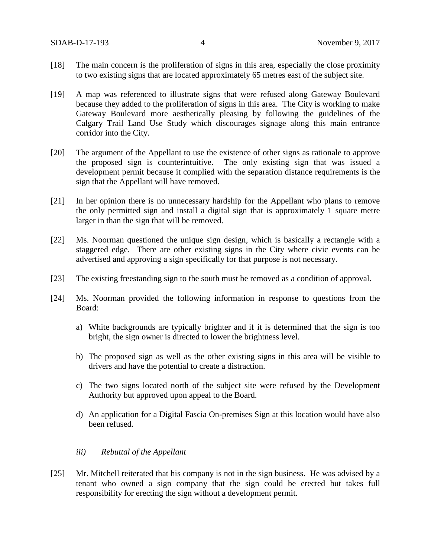- [18] The main concern is the proliferation of signs in this area, especially the close proximity to two existing signs that are located approximately 65 metres east of the subject site.
- [19] A map was referenced to illustrate signs that were refused along Gateway Boulevard because they added to the proliferation of signs in this area. The City is working to make Gateway Boulevard more aesthetically pleasing by following the guidelines of the Calgary Trail Land Use Study which discourages signage along this main entrance corridor into the City.
- [20] The argument of the Appellant to use the existence of other signs as rationale to approve the proposed sign is counterintuitive. The only existing sign that was issued a development permit because it complied with the separation distance requirements is the sign that the Appellant will have removed.
- [21] In her opinion there is no unnecessary hardship for the Appellant who plans to remove the only permitted sign and install a digital sign that is approximately 1 square metre larger in than the sign that will be removed.
- [22] Ms. Noorman questioned the unique sign design, which is basically a rectangle with a staggered edge. There are other existing signs in the City where civic events can be advertised and approving a sign specifically for that purpose is not necessary.
- [23] The existing freestanding sign to the south must be removed as a condition of approval.
- [24] Ms. Noorman provided the following information in response to questions from the Board:
	- a) White backgrounds are typically brighter and if it is determined that the sign is too bright, the sign owner is directed to lower the brightness level.
	- b) The proposed sign as well as the other existing signs in this area will be visible to drivers and have the potential to create a distraction.
	- c) The two signs located north of the subject site were refused by the Development Authority but approved upon appeal to the Board.
	- d) An application for a Digital Fascia On-premises Sign at this location would have also been refused.

## *iii) Rebuttal of the Appellant*

[25] Mr. Mitchell reiterated that his company is not in the sign business. He was advised by a tenant who owned a sign company that the sign could be erected but takes full responsibility for erecting the sign without a development permit.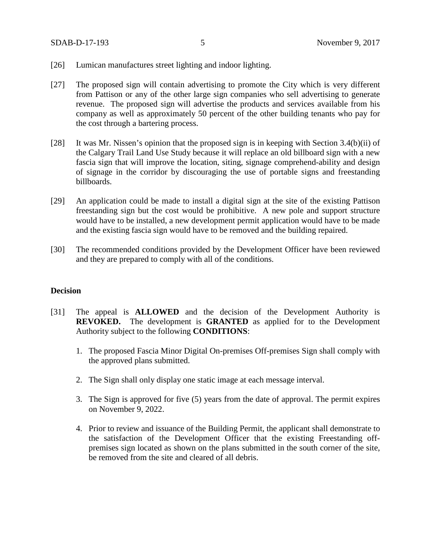- [26] Lumican manufactures street lighting and indoor lighting.
- [27] The proposed sign will contain advertising to promote the City which is very different from Pattison or any of the other large sign companies who sell advertising to generate revenue. The proposed sign will advertise the products and services available from his company as well as approximately 50 percent of the other building tenants who pay for the cost through a bartering process.
- [28] It was Mr. Nissen's opinion that the proposed sign is in keeping with Section 3.4(b)(ii) of the Calgary Trail Land Use Study because it will replace an old billboard sign with a new fascia sign that will improve the location, siting, signage comprehend-ability and design of signage in the corridor by discouraging the use of portable signs and freestanding billboards.
- [29] An application could be made to install a digital sign at the site of the existing Pattison freestanding sign but the cost would be prohibitive. A new pole and support structure would have to be installed, a new development permit application would have to be made and the existing fascia sign would have to be removed and the building repaired.
- [30] The recommended conditions provided by the Development Officer have been reviewed and they are prepared to comply with all of the conditions.

## **Decision**

- [31] The appeal is **ALLOWED** and the decision of the Development Authority is **REVOKED.** The development is **GRANTED** as applied for to the Development Authority subject to the following **CONDITIONS**:
	- 1. The proposed Fascia Minor Digital On-premises Off-premises Sign shall comply with the approved plans submitted.
	- 2. The Sign shall only display one static image at each message interval.
	- 3. The Sign is approved for five (5) years from the date of approval. The permit expires on November 9, 2022.
	- 4. Prior to review and issuance of the Building Permit, the applicant shall demonstrate to the satisfaction of the Development Officer that the existing Freestanding offpremises sign located as shown on the plans submitted in the south corner of the site, be removed from the site and cleared of all debris.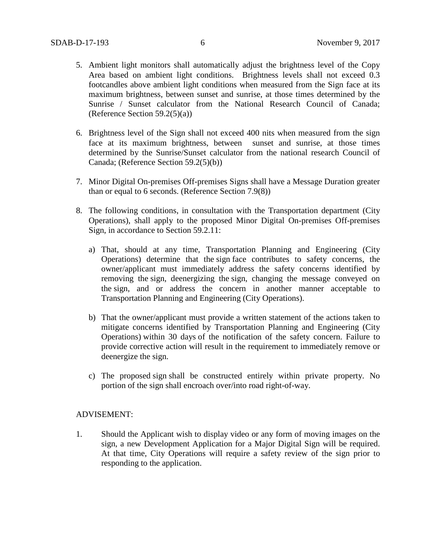- 5. Ambient light monitors shall automatically adjust the brightness level of the Copy Area based on ambient light conditions. Brightness levels shall not exceed 0.3 footcandles above ambient light conditions when measured from the Sign face at its maximum brightness, between sunset and sunrise, at those times determined by the Sunrise / Sunset calculator from the National Research Council of Canada; (Reference Section 59.2(5)(a))
- 6. Brightness level of the Sign shall not exceed 400 nits when measured from the sign face at its maximum brightness, between sunset and sunrise, at those times determined by the Sunrise/Sunset calculator from the national research Council of Canada; (Reference Section 59.2(5)(b))
- 7. Minor Digital On-premises Off-premises Signs shall have a Message Duration greater than or equal to 6 seconds. (Reference Section 7.9(8))
- 8. The following conditions, in consultation with the Transportation department (City Operations), shall apply to the proposed Minor Digital On-premises Off-premises Sign, in accordance to Section 59.2.11:
	- a) That, should at any time, Transportation Planning and Engineering (City Operations) determine that the sign face contributes to safety concerns, the owner/applicant must immediately address the safety concerns identified by removing the sign, deenergizing the sign, changing the message conveyed on the sign, and or address the concern in another manner acceptable to Transportation Planning and Engineering (City Operations).
	- b) That the owner/applicant must provide a written statement of the actions taken to mitigate concerns identified by Transportation Planning and Engineering (City Operations) within 30 days of the notification of the safety concern. Failure to provide corrective action will result in the requirement to immediately remove or deenergize the sign.
	- c) The proposed sign shall be constructed entirely within private property. No portion of the sign shall encroach over/into road right-of-way.

## ADVISEMENT:

1. Should the Applicant wish to display video or any form of moving images on the sign, a new Development Application for a Major Digital Sign will be required. At that time, City Operations will require a safety review of the sign prior to responding to the application.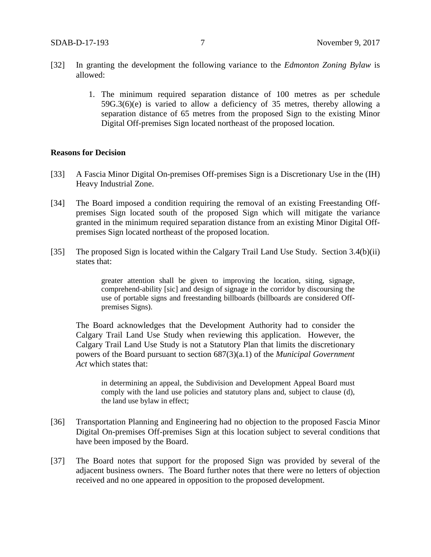- [32] In granting the development the following variance to the *Edmonton Zoning Bylaw* is allowed:
	- 1. The minimum required separation distance of 100 metres as per schedule 59G.3(6)(e) is varied to allow a deficiency of 35 metres, thereby allowing a separation distance of 65 metres from the proposed Sign to the existing Minor Digital Off-premises Sign located northeast of the proposed location.

### **Reasons for Decision**

- [33] A Fascia Minor Digital On-premises Off-premises Sign is a Discretionary Use in the (IH) Heavy Industrial Zone.
- [34] The Board imposed a condition requiring the removal of an existing Freestanding Offpremises Sign located south of the proposed Sign which will mitigate the variance granted in the minimum required separation distance from an existing Minor Digital Offpremises Sign located northeast of the proposed location.
- [35] The proposed Sign is located within the Calgary Trail Land Use Study. Section 3.4(b)(ii) states that:

greater attention shall be given to improving the location, siting, signage, comprehend-ability [sic] and design of signage in the corridor by discoursing the use of portable signs and freestanding billboards (billboards are considered Offpremises Signs).

The Board acknowledges that the Development Authority had to consider the Calgary Trail Land Use Study when reviewing this application. However, the Calgary Trail Land Use Study is not a Statutory Plan that limits the discretionary powers of the Board pursuant to section 687(3)(a.1) of the *Municipal Government Act* which states that:

in determining an appeal, the Subdivision and Development Appeal Board must comply with the land use policies and statutory plans and, subject to clause (d), the land use bylaw in effect;

- [36] Transportation Planning and Engineering had no objection to the proposed Fascia Minor Digital On-premises Off-premises Sign at this location subject to several conditions that have been imposed by the Board.
- [37] The Board notes that support for the proposed Sign was provided by several of the adjacent business owners. The Board further notes that there were no letters of objection received and no one appeared in opposition to the proposed development.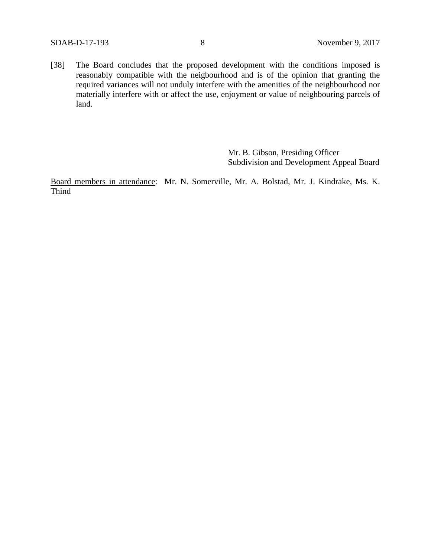[38] The Board concludes that the proposed development with the conditions imposed is reasonably compatible with the neigbourhood and is of the opinion that granting the required variances will not unduly interfere with the amenities of the neighbourhood nor materially interfere with or affect the use, enjoyment or value of neighbouring parcels of land.

> Mr. B. Gibson, Presiding Officer Subdivision and Development Appeal Board

Board members in attendance: Mr. N. Somerville, Mr. A. Bolstad, Mr. J. Kindrake, Ms. K. Thind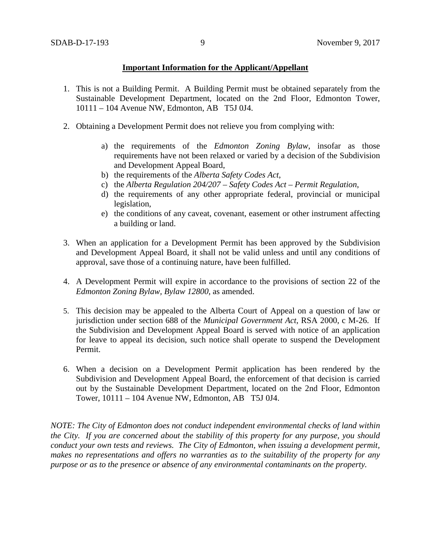## **Important Information for the Applicant/Appellant**

- 1. This is not a Building Permit. A Building Permit must be obtained separately from the Sustainable Development Department, located on the 2nd Floor, Edmonton Tower, 10111 – 104 Avenue NW, Edmonton, AB T5J 0J4.
- 2. Obtaining a Development Permit does not relieve you from complying with:
	- a) the requirements of the *Edmonton Zoning Bylaw*, insofar as those requirements have not been relaxed or varied by a decision of the Subdivision and Development Appeal Board,
	- b) the requirements of the *Alberta Safety Codes Act*,
	- c) the *Alberta Regulation 204/207 – Safety Codes Act – Permit Regulation*,
	- d) the requirements of any other appropriate federal, provincial or municipal legislation,
	- e) the conditions of any caveat, covenant, easement or other instrument affecting a building or land.
- 3. When an application for a Development Permit has been approved by the Subdivision and Development Appeal Board, it shall not be valid unless and until any conditions of approval, save those of a continuing nature, have been fulfilled.
- 4. A Development Permit will expire in accordance to the provisions of section 22 of the *Edmonton Zoning Bylaw, Bylaw 12800*, as amended.
- 5. This decision may be appealed to the Alberta Court of Appeal on a question of law or jurisdiction under section 688 of the *Municipal Government Act*, RSA 2000, c M-26. If the Subdivision and Development Appeal Board is served with notice of an application for leave to appeal its decision, such notice shall operate to suspend the Development Permit.
- 6. When a decision on a Development Permit application has been rendered by the Subdivision and Development Appeal Board, the enforcement of that decision is carried out by the Sustainable Development Department, located on the 2nd Floor, Edmonton Tower, 10111 – 104 Avenue NW, Edmonton, AB T5J 0J4.

*NOTE: The City of Edmonton does not conduct independent environmental checks of land within the City. If you are concerned about the stability of this property for any purpose, you should conduct your own tests and reviews. The City of Edmonton, when issuing a development permit, makes no representations and offers no warranties as to the suitability of the property for any purpose or as to the presence or absence of any environmental contaminants on the property.*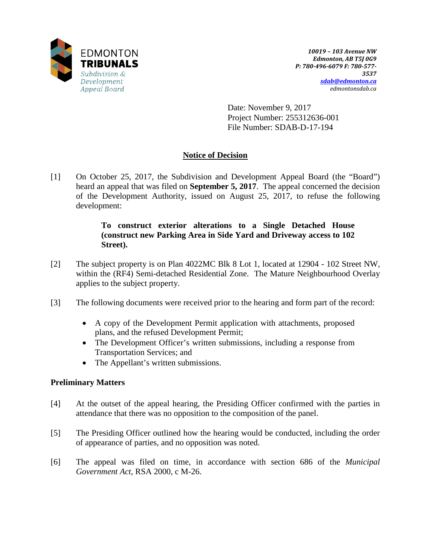

Date: November 9, 2017 Project Number: 255312636-001 File Number: SDAB-D-17-194

# **Notice of Decision**

[1] On October 25, 2017, the Subdivision and Development Appeal Board (the "Board") heard an appeal that was filed on **September 5, 2017**. The appeal concerned the decision of the Development Authority, issued on August 25, 2017, to refuse the following development:

# **To construct exterior alterations to a Single Detached House (construct new Parking Area in Side Yard and Driveway access to 102 Street).**

- [2] The subject property is on Plan 4022MC Blk 8 Lot 1, located at 12904 102 Street NW, within the (RF4) Semi-detached Residential Zone. The Mature Neighbourhood Overlay applies to the subject property.
- [3] The following documents were received prior to the hearing and form part of the record:
	- A copy of the Development Permit application with attachments, proposed plans, and the refused Development Permit;
	- The Development Officer's written submissions, including a response from Transportation Services; and
	- The Appellant's written submissions.

# **Preliminary Matters**

- [4] At the outset of the appeal hearing, the Presiding Officer confirmed with the parties in attendance that there was no opposition to the composition of the panel.
- [5] The Presiding Officer outlined how the hearing would be conducted, including the order of appearance of parties, and no opposition was noted.
- [6] The appeal was filed on time, in accordance with section 686 of the *Municipal Government Act*, RSA 2000, c M-26.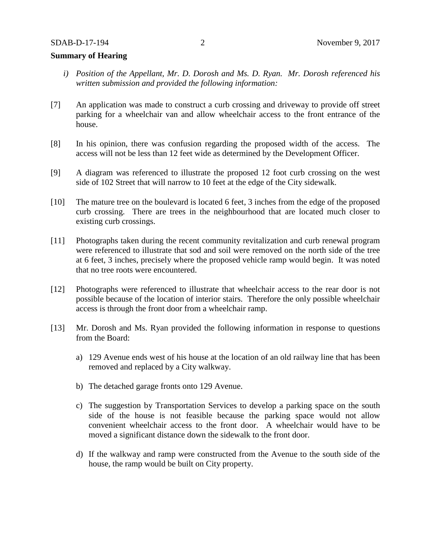## **Summary of Hearing**

- *i) Position of the Appellant, Mr. D. Dorosh and Ms. D. Ryan. Mr. Dorosh referenced his written submission and provided the following information:*
- [7] An application was made to construct a curb crossing and driveway to provide off street parking for a wheelchair van and allow wheelchair access to the front entrance of the house.
- [8] In his opinion, there was confusion regarding the proposed width of the access. The access will not be less than 12 feet wide as determined by the Development Officer.
- [9] A diagram was referenced to illustrate the proposed 12 foot curb crossing on the west side of 102 Street that will narrow to 10 feet at the edge of the City sidewalk.
- [10] The mature tree on the boulevard is located 6 feet, 3 inches from the edge of the proposed curb crossing. There are trees in the neighbourhood that are located much closer to existing curb crossings.
- [11] Photographs taken during the recent community revitalization and curb renewal program were referenced to illustrate that sod and soil were removed on the north side of the tree at 6 feet, 3 inches, precisely where the proposed vehicle ramp would begin. It was noted that no tree roots were encountered.
- [12] Photographs were referenced to illustrate that wheelchair access to the rear door is not possible because of the location of interior stairs. Therefore the only possible wheelchair access is through the front door from a wheelchair ramp.
- [13] Mr. Dorosh and Ms. Ryan provided the following information in response to questions from the Board:
	- a) 129 Avenue ends west of his house at the location of an old railway line that has been removed and replaced by a City walkway.
	- b) The detached garage fronts onto 129 Avenue.
	- c) The suggestion by Transportation Services to develop a parking space on the south side of the house is not feasible because the parking space would not allow convenient wheelchair access to the front door. A wheelchair would have to be moved a significant distance down the sidewalk to the front door.
	- d) If the walkway and ramp were constructed from the Avenue to the south side of the house, the ramp would be built on City property.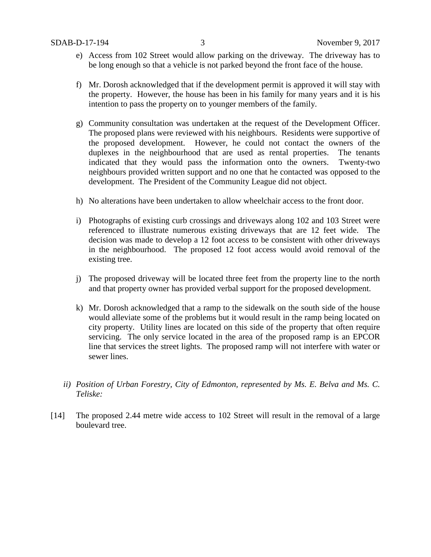- e) Access from 102 Street would allow parking on the driveway. The driveway has to be long enough so that a vehicle is not parked beyond the front face of the house.
- f) Mr. Dorosh acknowledged that if the development permit is approved it will stay with the property. However, the house has been in his family for many years and it is his intention to pass the property on to younger members of the family.
- g) Community consultation was undertaken at the request of the Development Officer. The proposed plans were reviewed with his neighbours. Residents were supportive of the proposed development. However, he could not contact the owners of the duplexes in the neighbourhood that are used as rental properties. The tenants indicated that they would pass the information onto the owners. Twenty-two neighbours provided written support and no one that he contacted was opposed to the development. The President of the Community League did not object.
- h) No alterations have been undertaken to allow wheelchair access to the front door.
- i) Photographs of existing curb crossings and driveways along 102 and 103 Street were referenced to illustrate numerous existing driveways that are 12 feet wide. The decision was made to develop a 12 foot access to be consistent with other driveways in the neighbourhood. The proposed 12 foot access would avoid removal of the existing tree.
- j) The proposed driveway will be located three feet from the property line to the north and that property owner has provided verbal support for the proposed development.
- k) Mr. Dorosh acknowledged that a ramp to the sidewalk on the south side of the house would alleviate some of the problems but it would result in the ramp being located on city property. Utility lines are located on this side of the property that often require servicing. The only service located in the area of the proposed ramp is an EPCOR line that services the street lights. The proposed ramp will not interfere with water or sewer lines.
- *ii) Position of Urban Forestry, City of Edmonton, represented by Ms. E. Belva and Ms. C. Teliske:*
- [14] The proposed 2.44 metre wide access to 102 Street will result in the removal of a large boulevard tree.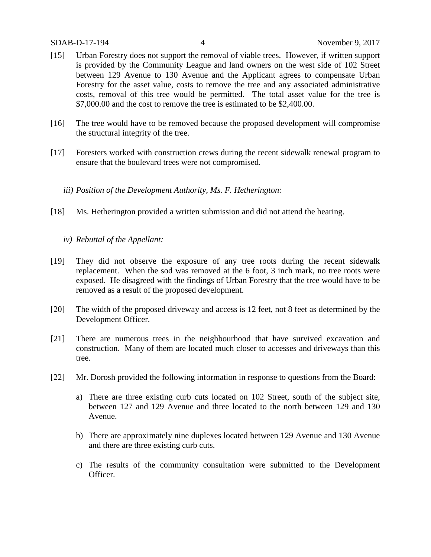- [15] Urban Forestry does not support the removal of viable trees. However, if written support is provided by the Community League and land owners on the west side of 102 Street between 129 Avenue to 130 Avenue and the Applicant agrees to compensate Urban Forestry for the asset value, costs to remove the tree and any associated administrative costs, removal of this tree would be permitted. The total asset value for the tree is \$7,000,00 and the cost to remove the tree is estimated to be \$2,400,00.
- [16] The tree would have to be removed because the proposed development will compromise the structural integrity of the tree.
- [17] Foresters worked with construction crews during the recent sidewalk renewal program to ensure that the boulevard trees were not compromised.
	- *iii) Position of the Development Authority, Ms. F. Hetherington:*
- [18] Ms. Hetherington provided a written submission and did not attend the hearing.
	- *iv) Rebuttal of the Appellant:*
- [19] They did not observe the exposure of any tree roots during the recent sidewalk replacement. When the sod was removed at the 6 foot, 3 inch mark, no tree roots were exposed. He disagreed with the findings of Urban Forestry that the tree would have to be removed as a result of the proposed development.
- [20] The width of the proposed driveway and access is 12 feet, not 8 feet as determined by the Development Officer.
- [21] There are numerous trees in the neighbourhood that have survived excavation and construction. Many of them are located much closer to accesses and driveways than this tree.
- [22] Mr. Dorosh provided the following information in response to questions from the Board:
	- a) There are three existing curb cuts located on 102 Street, south of the subject site, between 127 and 129 Avenue and three located to the north between 129 and 130 Avenue.
	- b) There are approximately nine duplexes located between 129 Avenue and 130 Avenue and there are three existing curb cuts.
	- c) The results of the community consultation were submitted to the Development Officer.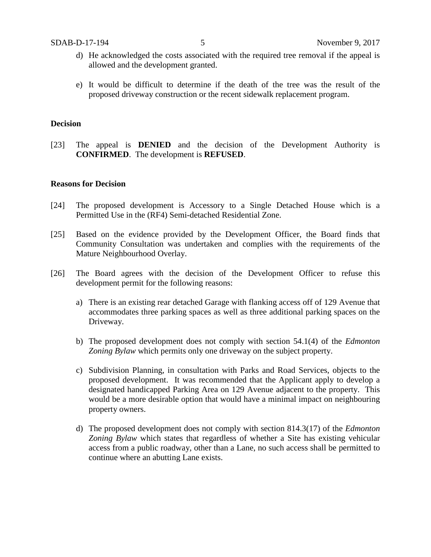- d) He acknowledged the costs associated with the required tree removal if the appeal is allowed and the development granted.
- e) It would be difficult to determine if the death of the tree was the result of the proposed driveway construction or the recent sidewalk replacement program.

## **Decision**

[23] The appeal is **DENIED** and the decision of the Development Authority is **CONFIRMED**. The development is **REFUSED**.

## **Reasons for Decision**

- [24] The proposed development is Accessory to a Single Detached House which is a Permitted Use in the (RF4) Semi-detached Residential Zone.
- [25] Based on the evidence provided by the Development Officer, the Board finds that Community Consultation was undertaken and complies with the requirements of the Mature Neighbourhood Overlay.
- [26] The Board agrees with the decision of the Development Officer to refuse this development permit for the following reasons:
	- a) There is an existing rear detached Garage with flanking access off of 129 Avenue that accommodates three parking spaces as well as three additional parking spaces on the Driveway.
	- b) The proposed development does not comply with section 54.1(4) of the *Edmonton Zoning Bylaw* which permits only one driveway on the subject property.
	- c) Subdivision Planning, in consultation with Parks and Road Services, objects to the proposed development. It was recommended that the Applicant apply to develop a designated handicapped Parking Area on 129 Avenue adjacent to the property. This would be a more desirable option that would have a minimal impact on neighbouring property owners.
	- d) The proposed development does not comply with section 814.3(17) of the *Edmonton Zoning Bylaw* which states that regardless of whether a Site has existing vehicular access from a public roadway, other than a Lane, no such access shall be permitted to continue where an abutting Lane exists.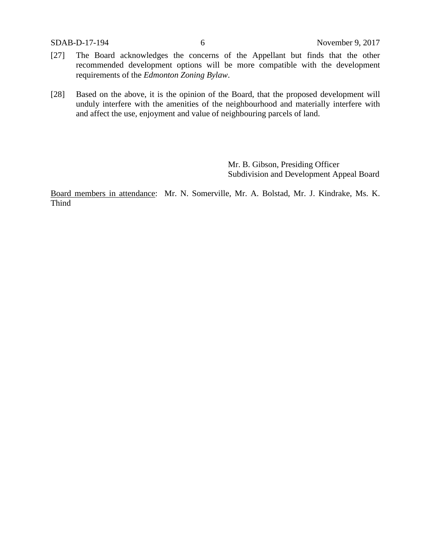- [27] The Board acknowledges the concerns of the Appellant but finds that the other recommended development options will be more compatible with the development requirements of the *Edmonton Zoning Bylaw*.
- [28] Based on the above, it is the opinion of the Board, that the proposed development will unduly interfere with the amenities of the neighbourhood and materially interfere with and affect the use, enjoyment and value of neighbouring parcels of land.

Mr. B. Gibson, Presiding Officer Subdivision and Development Appeal Board

Board members in attendance: Mr. N. Somerville, Mr. A. Bolstad, Mr. J. Kindrake, Ms. K. Thind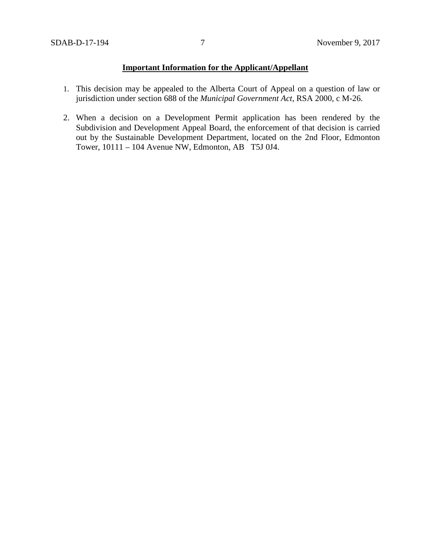# **Important Information for the Applicant/Appellant**

- 1. This decision may be appealed to the Alberta Court of Appeal on a question of law or jurisdiction under section 688 of the *Municipal Government Act*, RSA 2000, c M-26.
- 2. When a decision on a Development Permit application has been rendered by the Subdivision and Development Appeal Board, the enforcement of that decision is carried out by the Sustainable Development Department, located on the 2nd Floor, Edmonton Tower, 10111 – 104 Avenue NW, Edmonton, AB T5J 0J4.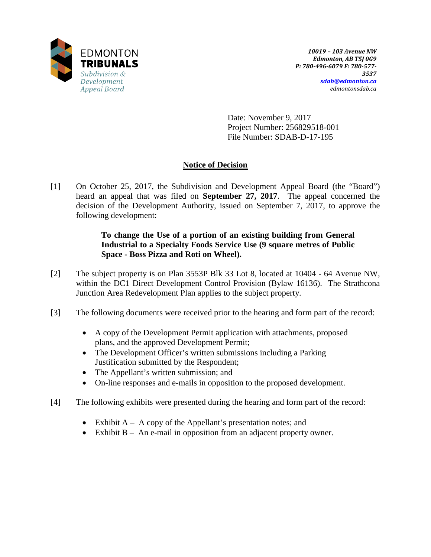

Date: November 9, 2017 Project Number: 256829518-001 File Number: SDAB-D-17-195

# **Notice of Decision**

[1] On October 25, 2017, the Subdivision and Development Appeal Board (the "Board") heard an appeal that was filed on **September 27, 2017**. The appeal concerned the decision of the Development Authority, issued on September 7, 2017, to approve the following development:

# **To change the Use of a portion of an existing building from General Industrial to a Specialty Foods Service Use (9 square metres of Public Space - Boss Pizza and Roti on Wheel).**

- [2] The subject property is on Plan 3553P Blk 33 Lot 8, located at 10404 64 Avenue NW, within the DC1 Direct Development Control Provision (Bylaw 16136). The Strathcona Junction Area Redevelopment Plan applies to the subject property.
- [3] The following documents were received prior to the hearing and form part of the record:
	- A copy of the Development Permit application with attachments, proposed plans, and the approved Development Permit;
	- The Development Officer's written submissions including a Parking Justification submitted by the Respondent;
	- The Appellant's written submission; and
	- On-line responses and e-mails in opposition to the proposed development.
- [4] The following exhibits were presented during the hearing and form part of the record:
	- Exhibit  $A A$  copy of the Appellant's presentation notes; and
	- Exhibit B An e-mail in opposition from an adjacent property owner.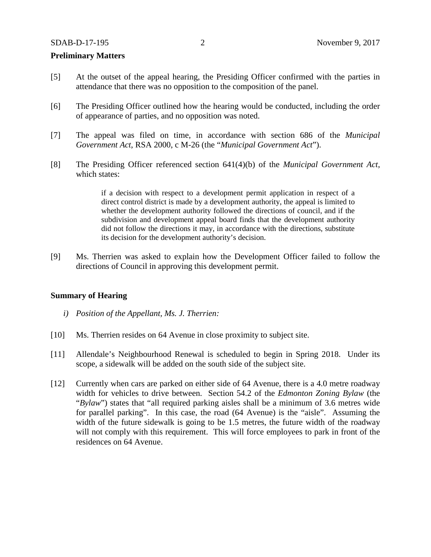### **Preliminary Matters**

- [5] At the outset of the appeal hearing, the Presiding Officer confirmed with the parties in attendance that there was no opposition to the composition of the panel.
- [6] The Presiding Officer outlined how the hearing would be conducted, including the order of appearance of parties, and no opposition was noted.
- [7] The appeal was filed on time, in accordance with section 686 of the *Municipal Government Act*, RSA 2000, c M-26 (the "*Municipal Government Act*").
- [8] The Presiding Officer referenced section 641(4)(b) of the *Municipal Government Act*, which states:

if a decision with respect to a development permit application in respect of a direct control district is made by a development authority, the appeal is limited to whether the development authority followed the directions of council, and if the subdivision and development appeal board finds that the development authority did not follow the directions it may, in accordance with the directions, substitute its decision for the development authority's decision.

[9] Ms. Therrien was asked to explain how the Development Officer failed to follow the directions of Council in approving this development permit.

## **Summary of Hearing**

- *i) Position of the Appellant, Ms. J. Therrien:*
- [10] Ms. Therrien resides on 64 Avenue in close proximity to subject site.
- [11] Allendale's Neighbourhood Renewal is scheduled to begin in Spring 2018. Under its scope, a sidewalk will be added on the south side of the subject site.
- [12] Currently when cars are parked on either side of 64 Avenue, there is a 4.0 metre roadway width for vehicles to drive between. Section 54.2 of the *Edmonton Zoning Bylaw* (the "*Bylaw*") states that "all required parking aisles shall be a minimum of 3.6 metres wide for parallel parking". In this case, the road (64 Avenue) is the "aisle". Assuming the width of the future sidewalk is going to be 1.5 metres, the future width of the roadway will not comply with this requirement. This will force employees to park in front of the residences on 64 Avenue.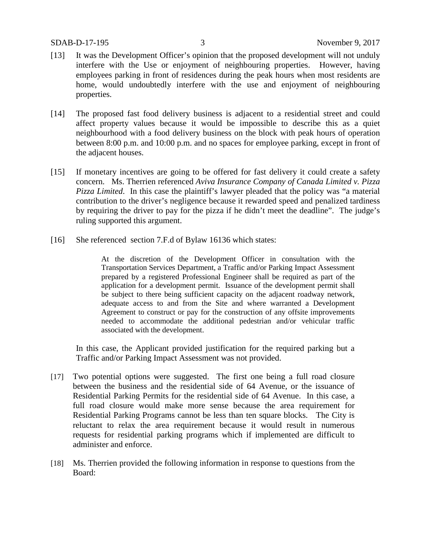- [13] It was the Development Officer's opinion that the proposed development will not unduly interfere with the Use or enjoyment of neighbouring properties. However, having employees parking in front of residences during the peak hours when most residents are home, would undoubtedly interfere with the use and enjoyment of neighbouring properties.
- [14] The proposed fast food delivery business is adjacent to a residential street and could affect property values because it would be impossible to describe this as a quiet neighbourhood with a food delivery business on the block with peak hours of operation between 8:00 p.m. and 10:00 p.m. and no spaces for employee parking, except in front of the adjacent houses.
- [15] If monetary incentives are going to be offered for fast delivery it could create a safety concern. Ms. Therrien referenced *Aviva Insurance Company of Canada Limited v. Pizza Pizza Limited*. In this case the plaintiff's lawyer pleaded that the policy was "a material contribution to the driver's negligence because it rewarded speed and penalized tardiness by requiring the driver to pay for the pizza if he didn't meet the deadline". The judge's ruling supported this argument.
- [16] She referenced section 7.F.d of Bylaw 16136 which states:

At the discretion of the Development Officer in consultation with the Transportation Services Department, a Traffic and/or Parking Impact Assessment prepared by a registered Professional Engineer shall be required as part of the application for a development permit. Issuance of the development permit shall be subject to there being sufficient capacity on the adjacent roadway network, adequate access to and from the Site and where warranted a Development Agreement to construct or pay for the construction of any offsite improvements needed to accommodate the additional pedestrian and/or vehicular traffic associated with the development.

In this case, the Applicant provided justification for the required parking but a Traffic and/or Parking Impact Assessment was not provided.

- [17] Two potential options were suggested. The first one being a full road closure between the business and the residential side of 64 Avenue, or the issuance of Residential Parking Permits for the residential side of 64 Avenue. In this case, a full road closure would make more sense because the area requirement for Residential Parking Programs cannot be less than ten square blocks. The City is reluctant to relax the area requirement because it would result in numerous requests for residential parking programs which if implemented are difficult to administer and enforce.
- [18] Ms. Therrien provided the following information in response to questions from the Board: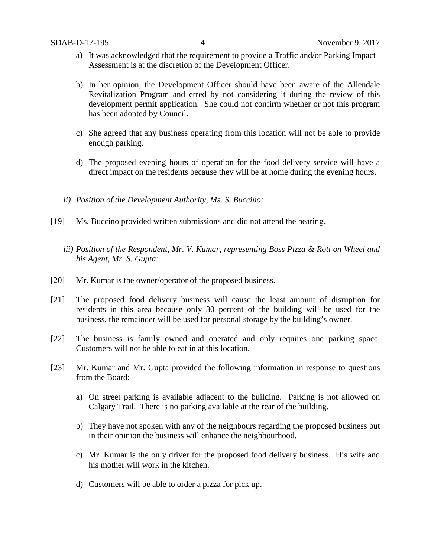- a) It was acknowledged that the requirement to provide a Traffic and/or Parking Impact Assessment is at the discretion of the Development Officer.
- b) In her opinion, the Development Officer should have been aware of the Allendale Revitalization Program and erred by not considering it during the review of this development permit application. She could not confirm whether or not this program has been adopted by Council.
- c) She agreed that any business operating from this location will not be able to provide enough parking.
- d) The proposed evening hours of operation for the food delivery service will have a direct impact on the residents because they will be at home during the evening hours.
- *ii) Position of the Development Authority, Ms. S. Buccino:*
- [19] Ms. Buccino provided written submissions and did not attend the hearing.
	- *iii) Position of the Respondent, Mr. V. Kumar, representing Boss Pizza & Roti on Wheel and his Agent, Mr. S. Gupta:*
- [20] Mr. Kumar is the owner/operator of the proposed business.
- [21] The proposed food delivery business will cause the least amount of disruption for residents in this area because only 30 percent of the building will be used for the business, the remainder will be used for personal storage by the building's owner.
- [22] The business is family owned and operated and only requires one parking space. Customers will not be able to eat in at this location.
- [23] Mr. Kumar and Mr. Gupta provided the following information in response to questions from the Board:
	- a) On street parking is available adjacent to the building. Parking is not allowed on Calgary Trail. There is no parking available at the rear of the building.
	- b) They have not spoken with any of the neighbours regarding the proposed business but in their opinion the business will enhance the neighbourhood.
	- c) Mr. Kumar is the only driver for the proposed food delivery business. His wife and his mother will work in the kitchen.
	- d) Customers will be able to order a pizza for pick up.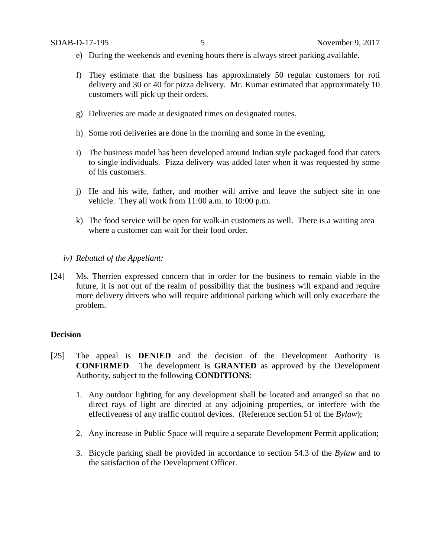- e) During the weekends and evening hours there is always street parking available.
- f) They estimate that the business has approximately 50 regular customers for roti delivery and 30 or 40 for pizza delivery. Mr. Kumar estimated that approximately 10 customers will pick up their orders.
- g) Deliveries are made at designated times on designated routes.
- h) Some roti deliveries are done in the morning and some in the evening.
- i) The business model has been developed around Indian style packaged food that caters to single individuals. Pizza delivery was added later when it was requested by some of his customers.
- j) He and his wife, father, and mother will arrive and leave the subject site in one vehicle. They all work from 11:00 a.m. to 10:00 p.m.
- k) The food service will be open for walk-in customers as well. There is a waiting area where a customer can wait for their food order.
- *iv) Rebuttal of the Appellant:*
- [24] Ms. Therrien expressed concern that in order for the business to remain viable in the future, it is not out of the realm of possibility that the business will expand and require more delivery drivers who will require additional parking which will only exacerbate the problem.

## **Decision**

- [25] The appeal is **DENIED** and the decision of the Development Authority is **CONFIRMED**. The development is **GRANTED** as approved by the Development Authority, subject to the following **CONDITIONS**:
	- 1. Any outdoor lighting for any development shall be located and arranged so that no direct rays of light are directed at any adjoining properties, or interfere with the effectiveness of any traffic control devices. (Reference section 51 of the *Bylaw*);
	- 2. Any increase in Public Space will require a separate Development Permit application;
	- 3. Bicycle parking shall be provided in accordance to section 54.3 of the *Bylaw* and to the satisfaction of the Development Officer.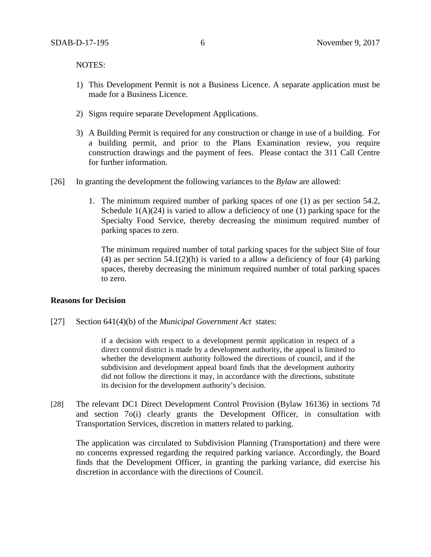NOTES:

- 1) This Development Permit is not a Business Licence. A separate application must be made for a Business Licence.
- 2) Signs require separate Development Applications.
- 3) A Building Permit is required for any construction or change in use of a building. For a building permit, and prior to the Plans Examination review, you require construction drawings and the payment of fees. Please contact the 311 Call Centre for further information.
- [26] In granting the development the following variances to the *Bylaw* are allowed:
	- 1. The minimum required number of parking spaces of one (1) as per section 54.2, Schedule  $1(A)(24)$  is varied to allow a deficiency of one (1) parking space for the Specialty Food Service, thereby decreasing the minimum required number of parking spaces to zero.

The minimum required number of total parking spaces for the subject Site of four (4) as per section  $54.1(2)(h)$  is varied to a allow a deficiency of four (4) parking spaces, thereby decreasing the minimum required number of total parking spaces to zero.

### **Reasons for Decision**

[27] Section 641(4)(b) of the *Municipal Government Act* states:

if a decision with respect to a development permit application in respect of a direct control district is made by a development authority, the appeal is limited to whether the development authority followed the directions of council, and if the subdivision and development appeal board finds that the development authority did not follow the directions it may, in accordance with the directions, substitute its decision for the development authority's decision.

[28] The relevant DC1 Direct Development Control Provision (Bylaw 16136) in sections 7d and section 7o(i) clearly grants the Development Officer, in consultation with Transportation Services, discretion in matters related to parking.

The application was circulated to Subdivision Planning (Transportation) and there were no concerns expressed regarding the required parking variance. Accordingly, the Board finds that the Development Officer, in granting the parking variance, did exercise his discretion in accordance with the directions of Council.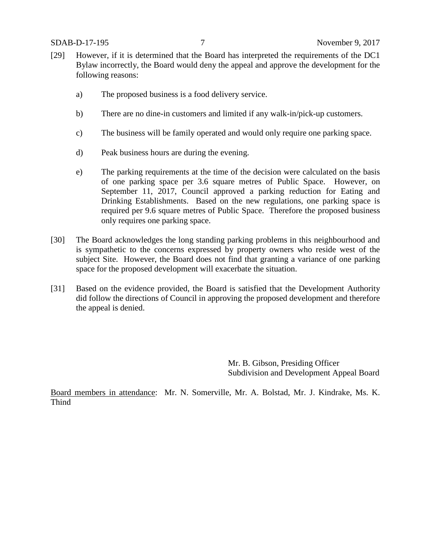- [29] However, if it is determined that the Board has interpreted the requirements of the DC1 Bylaw incorrectly, the Board would deny the appeal and approve the development for the following reasons:
	- a) The proposed business is a food delivery service.
	- b) There are no dine-in customers and limited if any walk-in/pick-up customers.
	- c) The business will be family operated and would only require one parking space.
	- d) Peak business hours are during the evening.
	- e) The parking requirements at the time of the decision were calculated on the basis of one parking space per 3.6 square metres of Public Space. However, on September 11, 2017, Council approved a parking reduction for Eating and Drinking Establishments. Based on the new regulations, one parking space is required per 9.6 square metres of Public Space. Therefore the proposed business only requires one parking space.
- [30] The Board acknowledges the long standing parking problems in this neighbourhood and is sympathetic to the concerns expressed by property owners who reside west of the subject Site. However, the Board does not find that granting a variance of one parking space for the proposed development will exacerbate the situation.
- [31] Based on the evidence provided, the Board is satisfied that the Development Authority did follow the directions of Council in approving the proposed development and therefore the appeal is denied.

Mr. B. Gibson, Presiding Officer Subdivision and Development Appeal Board

Board members in attendance: Mr. N. Somerville, Mr. A. Bolstad, Mr. J. Kindrake, Ms. K. Thind